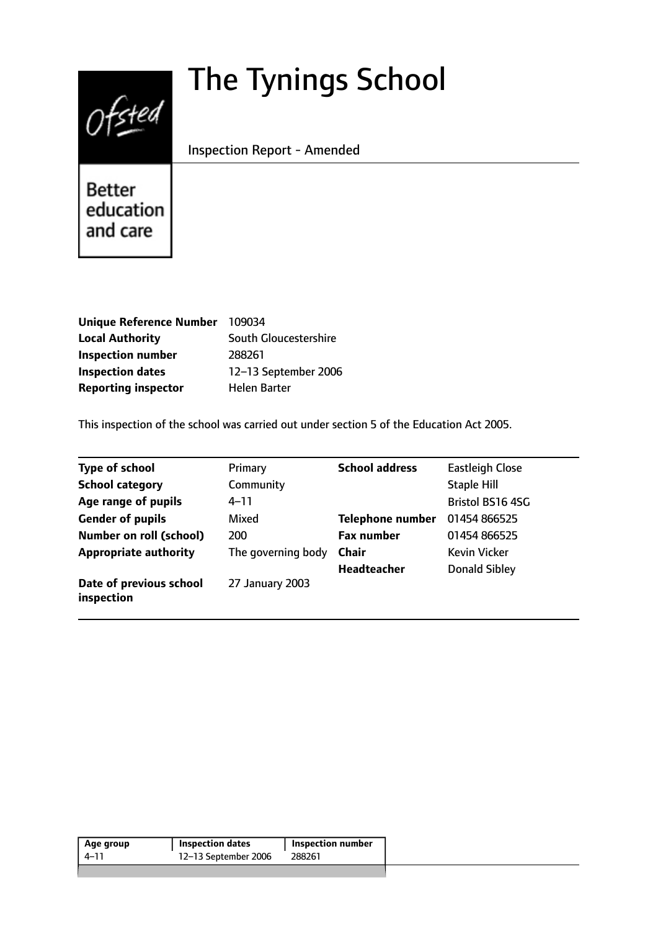# The Tynings School



Inspection Report - Amended

Better education and care

| <b>Unique Reference Number</b> | 109034                |
|--------------------------------|-----------------------|
| <b>Local Authority</b>         | South Gloucestershire |
| <b>Inspection number</b>       | 288261                |
| <b>Inspection dates</b>        | 12-13 September 2006  |
| <b>Reporting inspector</b>     | <b>Helen Barter</b>   |

This inspection of the school was carried out under section 5 of the Education Act 2005.

| <b>Type of school</b>                 | Primary            | <b>School address</b>   | <b>Eastleigh Close</b>  |
|---------------------------------------|--------------------|-------------------------|-------------------------|
| <b>School category</b>                | Community          |                         | <b>Staple Hill</b>      |
| Age range of pupils                   | 4–11               |                         | <b>Bristol BS16 4SG</b> |
| <b>Gender of pupils</b>               | Mixed              | <b>Telephone number</b> | 01454 866525            |
| <b>Number on roll (school)</b>        | 200                | <b>Fax number</b>       | 01454 866525            |
| <b>Appropriate authority</b>          | The governing body | <b>Chair</b>            | <b>Kevin Vicker</b>     |
|                                       |                    | <b>Headteacher</b>      | <b>Donald Sibley</b>    |
| Date of previous school<br>inspection | 27 January 2003    |                         |                         |

| Age group | <b>Inspection dates</b> | <b>Inspection number</b> |
|-----------|-------------------------|--------------------------|
| 4–11      | 12-13 September 2006    | 288261                   |
|           |                         |                          |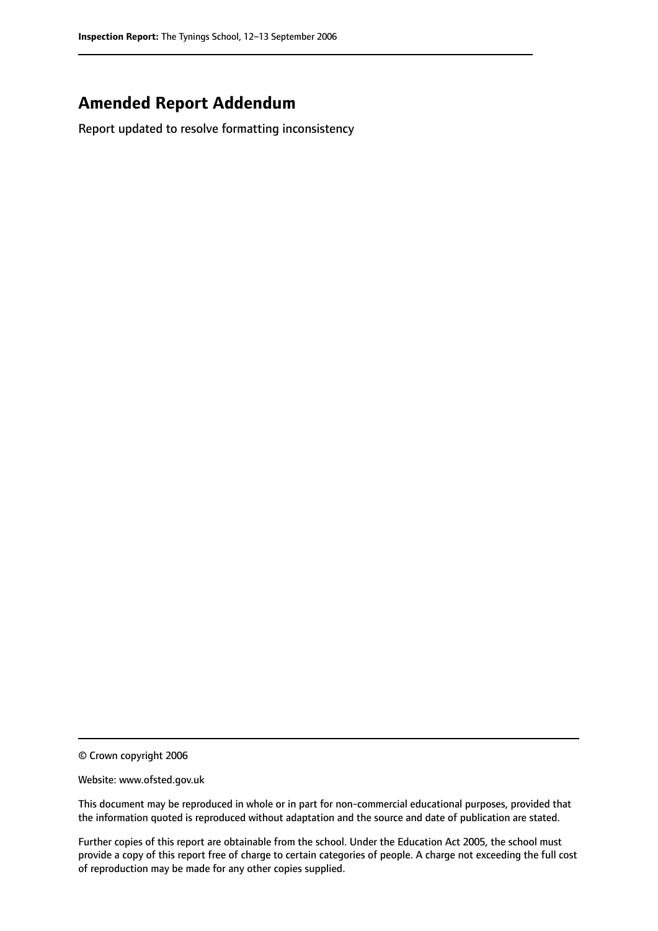# **Amended Report Addendum**

Report updated to resolve formatting inconsistency

<sup>©</sup> Crown copyright 2006

Website: www.ofsted.gov.uk

This document may be reproduced in whole or in part for non-commercial educational purposes, provided that the information quoted is reproduced without adaptation and the source and date of publication are stated.

Further copies of this report are obtainable from the school. Under the Education Act 2005, the school must provide a copy of this report free of charge to certain categories of people. A charge not exceeding the full cost of reproduction may be made for any other copies supplied.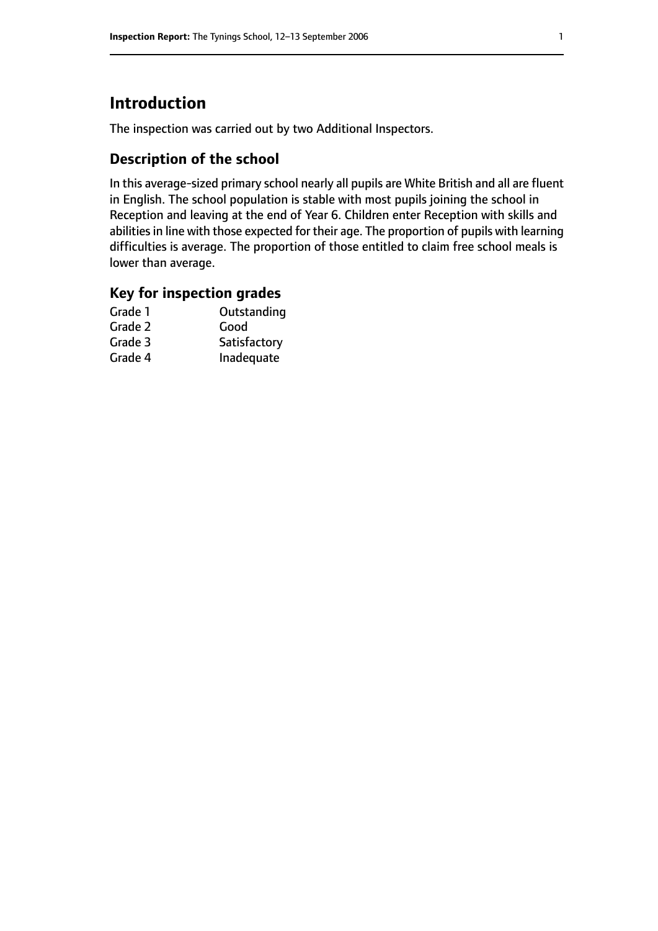# **Introduction**

The inspection was carried out by two Additional Inspectors.

## **Description of the school**

In this average-sized primary school nearly all pupils are White British and all are fluent in English. The school population is stable with most pupils joining the school in Reception and leaving at the end of Year 6. Children enter Reception with skills and abilities in line with those expected for their age. The proportion of pupils with learning difficulties is average. The proportion of those entitled to claim free school meals is lower than average.

## **Key for inspection grades**

| Outstanding  |
|--------------|
| Good         |
| Satisfactory |
| Inadequate   |
|              |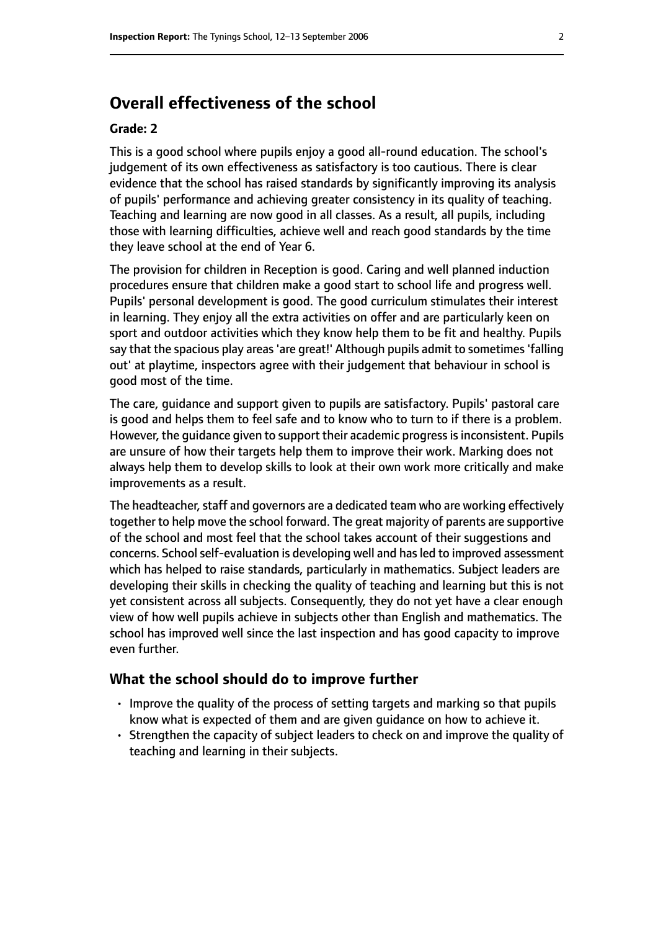# **Overall effectiveness of the school**

#### **Grade: 2**

This is a good school where pupils enjoy a good all-round education. The school's judgement of its own effectiveness as satisfactory is too cautious. There is clear evidence that the school has raised standards by significantly improving its analysis of pupils' performance and achieving greater consistency in its quality of teaching. Teaching and learning are now good in all classes. As a result, all pupils, including those with learning difficulties, achieve well and reach good standards by the time they leave school at the end of Year 6.

The provision for children in Reception is good. Caring and well planned induction procedures ensure that children make a good start to school life and progress well. Pupils' personal development is good. The good curriculum stimulates their interest in learning. They enjoy all the extra activities on offer and are particularly keen on sport and outdoor activities which they know help them to be fit and healthy. Pupils say that the spacious play areas 'are great!' Although pupils admit to sometimes 'falling out' at playtime, inspectors agree with their judgement that behaviour in school is good most of the time.

The care, guidance and support given to pupils are satisfactory. Pupils' pastoral care is good and helps them to feel safe and to know who to turn to if there is a problem. However, the quidance given to support their academic progress is inconsistent. Pupils are unsure of how their targets help them to improve their work. Marking does not always help them to develop skills to look at their own work more critically and make improvements as a result.

The headteacher, staff and governors are a dedicated team who are working effectively together to help move the school forward. The great majority of parents are supportive of the school and most feel that the school takes account of their suggestions and concerns. School self-evaluation is developing well and has led to improved assessment which has helped to raise standards, particularly in mathematics. Subject leaders are developing their skills in checking the quality of teaching and learning but this is not yet consistent across all subjects. Consequently, they do not yet have a clear enough view of how well pupils achieve in subjects other than English and mathematics. The school has improved well since the last inspection and has good capacity to improve even further.

#### **What the school should do to improve further**

- Improve the quality of the process of setting targets and marking so that pupils know what is expected of them and are given guidance on how to achieve it.
- Strengthen the capacity of subject leaders to check on and improve the quality of teaching and learning in their subjects.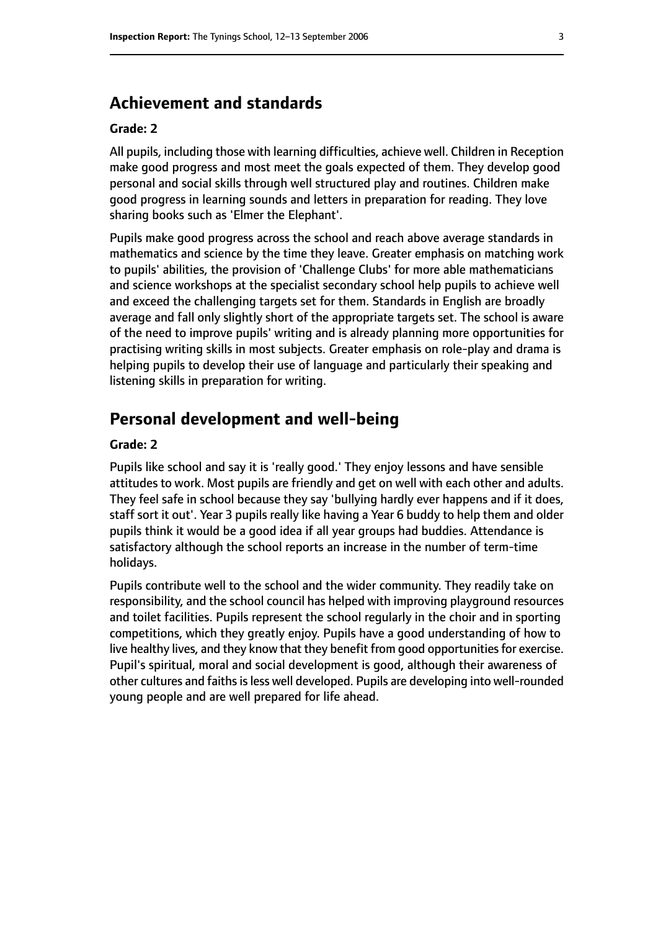## **Achievement and standards**

#### **Grade: 2**

All pupils, including those with learning difficulties, achieve well. Children in Reception make good progress and most meet the goals expected of them. They develop good personal and social skills through well structured play and routines. Children make good progress in learning sounds and letters in preparation for reading. They love sharing books such as 'Elmer the Elephant'.

Pupils make good progress across the school and reach above average standards in mathematics and science by the time they leave. Greater emphasis on matching work to pupils' abilities, the provision of 'Challenge Clubs' for more able mathematicians and science workshops at the specialist secondary school help pupils to achieve well and exceed the challenging targets set for them. Standards in English are broadly average and fall only slightly short of the appropriate targets set. The school is aware of the need to improve pupils' writing and is already planning more opportunities for practising writing skills in most subjects. Greater emphasis on role-play and drama is helping pupils to develop their use of language and particularly their speaking and listening skills in preparation for writing.

### **Personal development and well-being**

#### **Grade: 2**

Pupils like school and say it is 'really good.' They enjoy lessons and have sensible attitudes to work. Most pupils are friendly and get on well with each other and adults. They feel safe in school because they say 'bullying hardly ever happens and if it does, staff sort it out'. Year 3 pupils really like having a Year 6 buddy to help them and older pupils think it would be a good idea if all year groups had buddies. Attendance is satisfactory although the school reports an increase in the number of term-time holidays.

Pupils contribute well to the school and the wider community. They readily take on responsibility, and the school council has helped with improving playground resources and toilet facilities. Pupils represent the school regularly in the choir and in sporting competitions, which they greatly enjoy. Pupils have a good understanding of how to live healthy lives, and they know that they benefit from good opportunities for exercise. Pupil's spiritual, moral and social development is good, although their awareness of other cultures and faiths is less well developed. Pupils are developing into well-rounded young people and are well prepared for life ahead.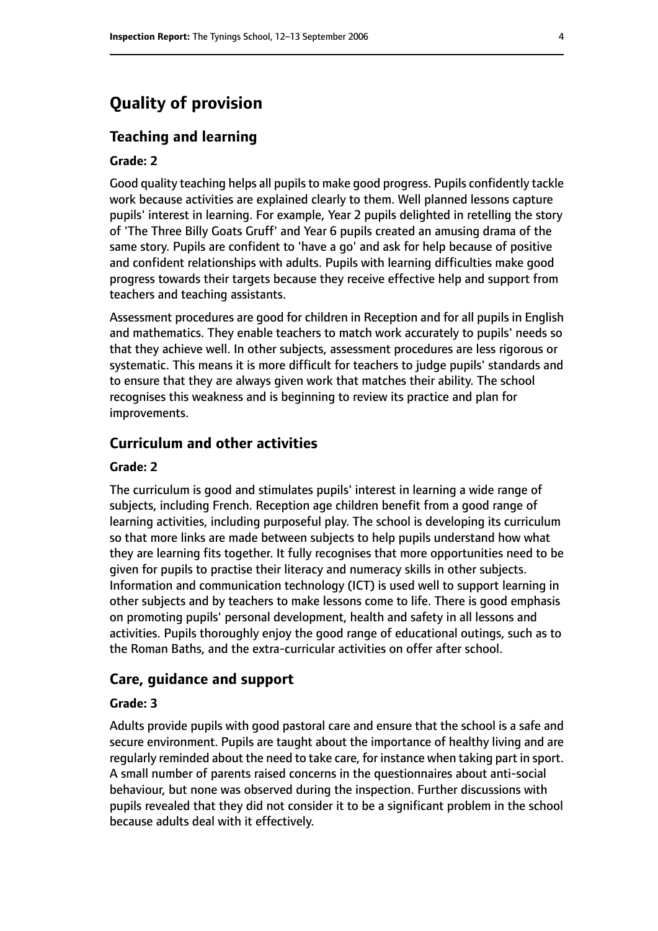# **Quality of provision**

#### **Teaching and learning**

#### **Grade: 2**

Good quality teaching helps all pupils to make good progress. Pupils confidently tackle work because activities are explained clearly to them. Well planned lessons capture pupils' interest in learning. For example, Year 2 pupils delighted in retelling the story of 'The Three Billy Goats Gruff' and Year 6 pupils created an amusing drama of the same story. Pupils are confident to 'have a go' and ask for help because of positive and confident relationships with adults. Pupils with learning difficulties make good progress towards their targets because they receive effective help and support from teachers and teaching assistants.

Assessment procedures are good for children in Reception and for all pupils in English and mathematics. They enable teachers to match work accurately to pupils' needs so that they achieve well. In other subjects, assessment procedures are less rigorous or systematic. This means it is more difficult for teachers to judge pupils' standards and to ensure that they are always given work that matches their ability. The school recognises this weakness and is beginning to review its practice and plan for improvements.

#### **Curriculum and other activities**

#### **Grade: 2**

The curriculum is good and stimulates pupils' interest in learning a wide range of subjects, including French. Reception age children benefit from a good range of learning activities, including purposeful play. The school is developing its curriculum so that more links are made between subjects to help pupils understand how what they are learning fits together. It fully recognises that more opportunities need to be given for pupils to practise their literacy and numeracy skills in other subjects. Information and communication technology (ICT) is used well to support learning in other subjects and by teachers to make lessons come to life. There is good emphasis on promoting pupils' personal development, health and safety in all lessons and activities. Pupils thoroughly enjoy the good range of educational outings, such as to the Roman Baths, and the extra-curricular activities on offer after school.

#### **Care, guidance and support**

#### **Grade: 3**

Adults provide pupils with good pastoral care and ensure that the school is a safe and secure environment. Pupils are taught about the importance of healthy living and are regularly reminded about the need to take care, for instance when taking part in sport. A small number of parents raised concerns in the questionnaires about anti-social behaviour, but none was observed during the inspection. Further discussions with pupils revealed that they did not consider it to be a significant problem in the school because adults deal with it effectively.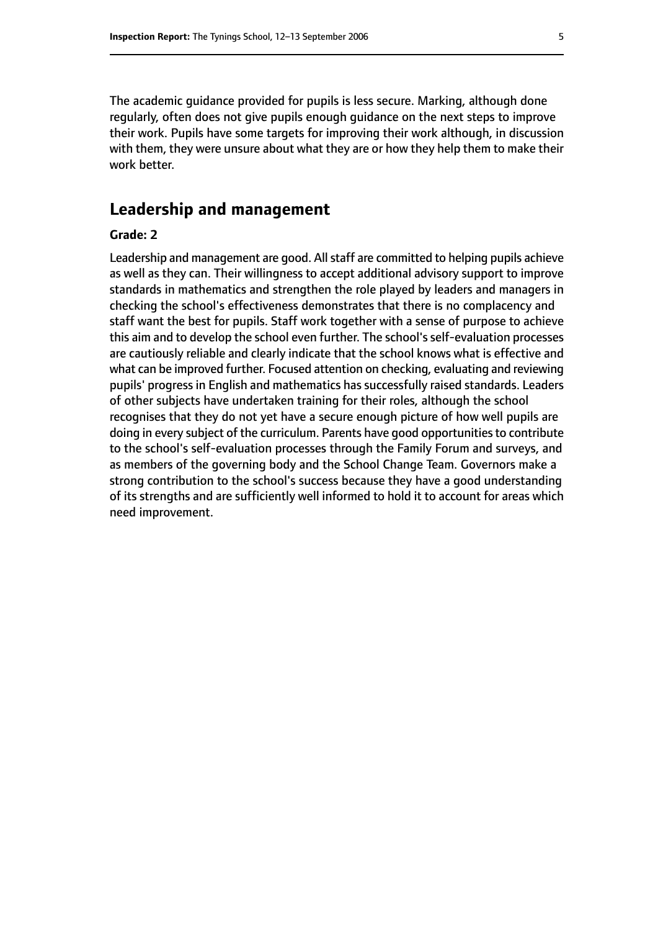The academic guidance provided for pupils is less secure. Marking, although done regularly, often does not give pupils enough guidance on the next steps to improve their work. Pupils have some targets for improving their work although, in discussion with them, they were unsure about what they are or how they help them to make their work better.

## **Leadership and management**

#### **Grade: 2**

Leadership and management are good. All staff are committed to helping pupils achieve as well as they can. Their willingness to accept additional advisory support to improve standards in mathematics and strengthen the role played by leaders and managers in checking the school's effectiveness demonstrates that there is no complacency and staff want the best for pupils. Staff work together with a sense of purpose to achieve this aim and to develop the school even further. The school's self-evaluation processes are cautiously reliable and clearly indicate that the school knows what is effective and what can be improved further. Focused attention on checking, evaluating and reviewing pupils' progress in English and mathematics has successfully raised standards. Leaders of other subjects have undertaken training for their roles, although the school recognises that they do not yet have a secure enough picture of how well pupils are doing in every subject of the curriculum. Parents have good opportunities to contribute to the school's self-evaluation processes through the Family Forum and surveys, and as members of the governing body and the School Change Team. Governors make a strong contribution to the school's success because they have a good understanding of its strengths and are sufficiently well informed to hold it to account for areas which need improvement.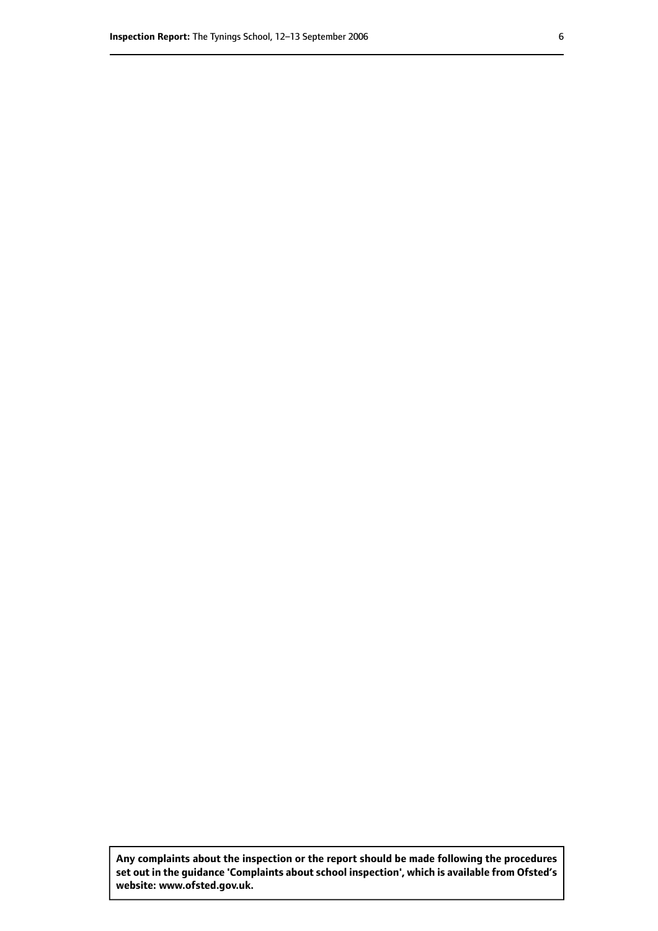**Any complaints about the inspection or the report should be made following the procedures set out inthe guidance 'Complaints about school inspection', whichis available from Ofsted's website: www.ofsted.gov.uk.**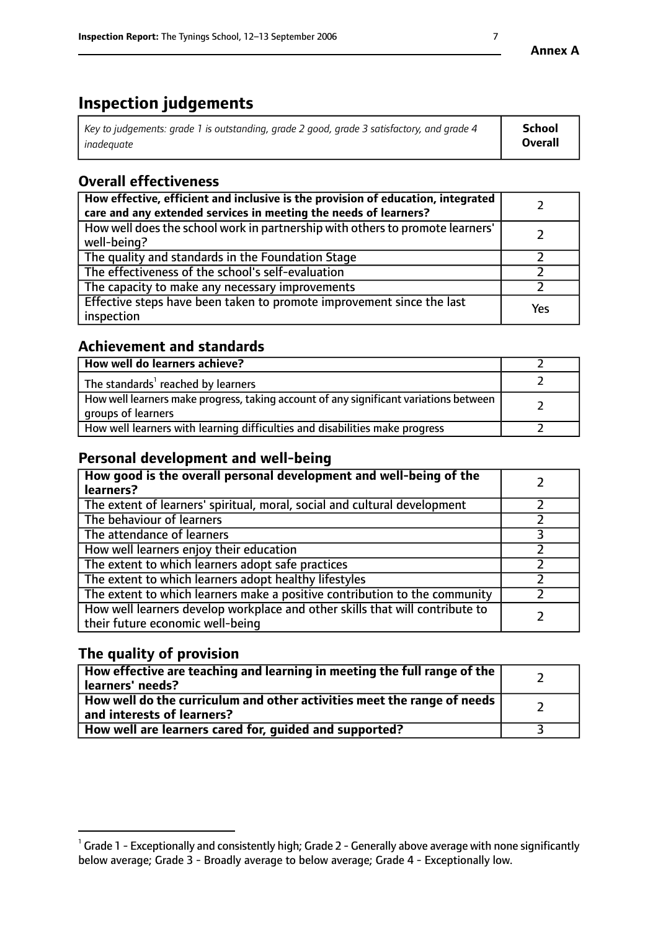# **Inspection judgements**

| Key to judgements: grade 1 is outstanding, grade 2 good, grade 3 satisfactory, and grade 4 | School         |
|--------------------------------------------------------------------------------------------|----------------|
| inadeauate                                                                                 | <b>Overall</b> |

# **Overall effectiveness**

| How effective, efficient and inclusive is the provision of education, integrated<br>care and any extended services in meeting the needs of learners? |     |
|------------------------------------------------------------------------------------------------------------------------------------------------------|-----|
| How well does the school work in partnership with others to promote learners'<br>well-being?                                                         |     |
| The quality and standards in the Foundation Stage                                                                                                    |     |
| The effectiveness of the school's self-evaluation                                                                                                    |     |
| The capacity to make any necessary improvements                                                                                                      |     |
| Effective steps have been taken to promote improvement since the last<br>inspection                                                                  | Yes |

## **Achievement and standards**

| How well do learners achieve?                                                                               |  |
|-------------------------------------------------------------------------------------------------------------|--|
| The standards <sup>1</sup> reached by learners                                                              |  |
| How well learners make progress, taking account of any significant variations between<br>groups of learners |  |
| How well learners with learning difficulties and disabilities make progress                                 |  |

## **Personal development and well-being**

| How good is the overall personal development and well-being of the<br>learners?                                  |  |
|------------------------------------------------------------------------------------------------------------------|--|
| The extent of learners' spiritual, moral, social and cultural development                                        |  |
| The behaviour of learners                                                                                        |  |
| The attendance of learners                                                                                       |  |
| How well learners enjoy their education                                                                          |  |
| The extent to which learners adopt safe practices                                                                |  |
| The extent to which learners adopt healthy lifestyles                                                            |  |
| The extent to which learners make a positive contribution to the community                                       |  |
| How well learners develop workplace and other skills that will contribute to<br>their future economic well-being |  |

# **The quality of provision**

| $\Box$ How effective are teaching and learning in meeting the full range of the $\Box$<br>  learners' needs?        |  |
|---------------------------------------------------------------------------------------------------------------------|--|
| $\mid$ How well do the curriculum and other activities meet the range of needs<br>$\mid$ and interests of learners? |  |
| How well are learners cared for, guided and supported?                                                              |  |

 $^1$  Grade 1 - Exceptionally and consistently high; Grade 2 - Generally above average with none significantly below average; Grade 3 - Broadly average to below average; Grade 4 - Exceptionally low.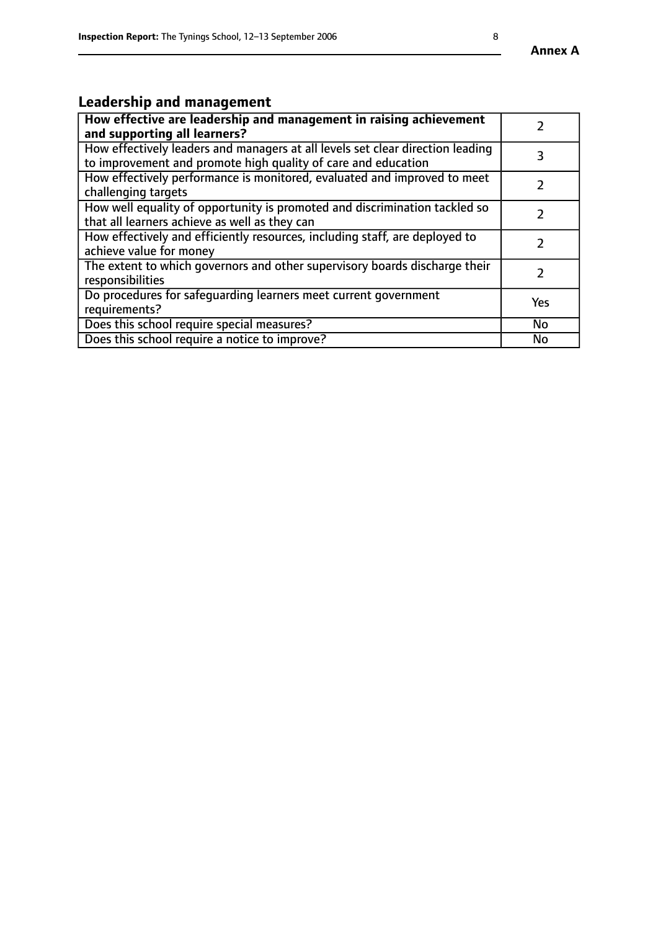# **Leadership and management**

| How effective are leadership and management in raising achievement<br>and supporting all learners?                                              |     |
|-------------------------------------------------------------------------------------------------------------------------------------------------|-----|
| How effectively leaders and managers at all levels set clear direction leading<br>to improvement and promote high quality of care and education |     |
| How effectively performance is monitored, evaluated and improved to meet<br>challenging targets                                                 |     |
| How well equality of opportunity is promoted and discrimination tackled so<br>that all learners achieve as well as they can                     |     |
| How effectively and efficiently resources, including staff, are deployed to<br>achieve value for money                                          |     |
| The extent to which governors and other supervisory boards discharge their<br>responsibilities                                                  |     |
| Do procedures for safequarding learners meet current government<br>requirements?                                                                | Yes |
| Does this school require special measures?                                                                                                      | No  |
| Does this school require a notice to improve?                                                                                                   | No  |